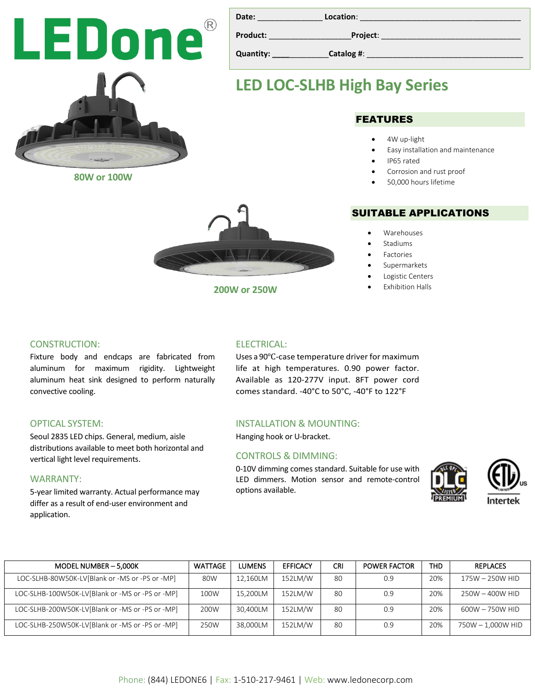**Date:** \_\_\_\_\_\_\_\_\_\_\_\_\_\_\_ **Location**: \_\_\_\_\_\_\_\_\_\_\_\_\_\_\_\_\_\_\_\_\_\_\_\_\_\_\_\_\_\_\_\_\_\_\_\_\_ **Product:** \_\_\_\_\_\_\_\_\_\_\_\_\_\_\_\_\_\_\_**Project**: \_\_\_\_\_\_\_\_\_\_\_\_\_\_\_\_\_\_\_\_\_\_\_\_\_\_\_\_\_\_\_\_

**Quantity: \_\_\_\_**\_\_\_\_\_\_\_\_\_**Catalog #**: \_\_\_\_\_\_\_\_\_\_\_\_\_\_\_\_\_\_\_\_\_\_\_\_\_\_\_\_\_\_\_\_\_\_\_\_

## **LED LOC-SLHB High Bay Series**

### FEATURES

- 4W up-light
- Easy installation and maintenance
- IP65 rated
- Corrosion and rust proof
- 50,000 hours lifetime

### SUITABLE APPLICATIONS

- Warehouses
- **Stadiums**
- **Factories**
- Supermarkets
- Logistic Centers
- **Exhibition Halls**

### CONSTRUCTION: Fixture body and endcaps are fabricated from

aluminum for maximum rigidity. Lightweight aluminum heat sink designed to perform naturally convective cooling.

### OPTICAL SYSTEM:

Seoul 2835 LED chips. General, medium, aisle distributions available to meet both horizontal and vertical light level requirements.

### WARRANTY:

5-year limited warranty. Actual performance may differ as a result of end-user environment and application.

### ELECTRICAL:

Uses a 90℃-case temperature driver for maximum life at high temperatures. 0.90 power factor. Available as 120-277V input. 8FT power cord comes standard. -40°C to 50°C, -40°F to 122°F

### INSTALLATION & MOUNTING:

Hanging hook or U-bracket.

### CONTROLS & DIMMING:

0-10V dimming comes standard. Suitable for use with LED dimmers. Motion sensor and remote-control options available.





| MODEL NUMBER - 5,000K                           | <b>WATTAGE</b> | <b>LUMENS</b> | <b>EFFICACY</b> | CRI | <b>POWER FACTOR</b> | THD. | <b>REPLACES</b>   |
|-------------------------------------------------|----------------|---------------|-----------------|-----|---------------------|------|-------------------|
| LOC-SLHB-80W50K-LV[Blank or -MS or -PS or -MP]  | 80W            | 12.160LM      | 152LM/W         | 80  | 0.9                 | 20%  | 175W - 250W HID   |
| LOC-SLHB-100W50K-LV[Blank or -MS or -PS or -MP] | 100W           | 15.200LM      | 152LM/W         | 80  | 0.9                 | 20%  | 250W - 400W HID   |
| LOC-SLHB-200W50K-LV[Blank or -MS or -PS or -MP] | 200W           | 30.400LM      | 152LM/W         | 80  | 0.9                 | 20%  | 600W - 750W HID   |
| LOC-SLHB-250W50K-LV[Blank or -MS or -PS or -MP] | 250W           | 38.000LM      | 152LM/W         | 80  | 0.9                 | 20%  | 750W - 1,000W HID |





**200W or 250W**

LEDone®

**80W or 100W**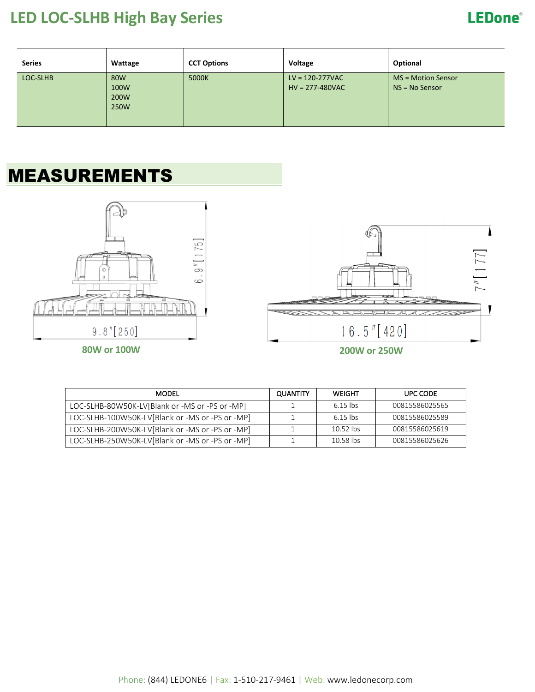## **LED LOC-SLHB High Bay Series**

## **LEDone®**

| <b>Series</b> | Wattage                     | <b>CCT Options</b> | Voltage                                  | Optional                                 |
|---------------|-----------------------------|--------------------|------------------------------------------|------------------------------------------|
| LOC-SLHB      | 80W<br>100W<br>200W<br>250W | 5000K              | $LV = 120 - 277VAC$<br>$HV = 277-480VAC$ | $MS = Motion$ Sensor<br>$NS = No$ Sensor |

# MEASUREMENTS





| MODEL                                           | QUANTITY | <b>WEIGHT</b> | UPC CODE       |
|-------------------------------------------------|----------|---------------|----------------|
| LOC-SLHB-80W50K-LV[Blank or -MS or -PS or -MP]  |          | 6.15 lbs      | 00815586025565 |
| LOC-SLHB-100W50K-LV[Blank or -MS or -PS or -MP] |          | 6.15 lbs      | 00815586025589 |
| LOC-SLHB-200W50K-LV[Blank or -MS or -PS or -MP] |          | $10.52$ lbs   | 00815586025619 |
| LOC-SLHB-250W50K-LV[Blank or -MS or -PS or -MP] |          | 10.58 lbs     | 00815586025626 |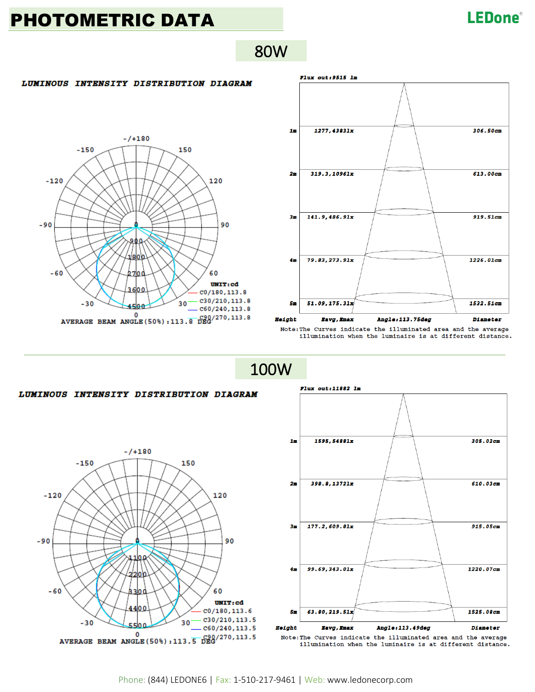## PHOTOMETRIC DATA

## **LEDone®**

80W

#### LUMINOUS INTENSITY DISTRIBUTION DIAGRAM





illumination when the luminaire is at different distance.

100W

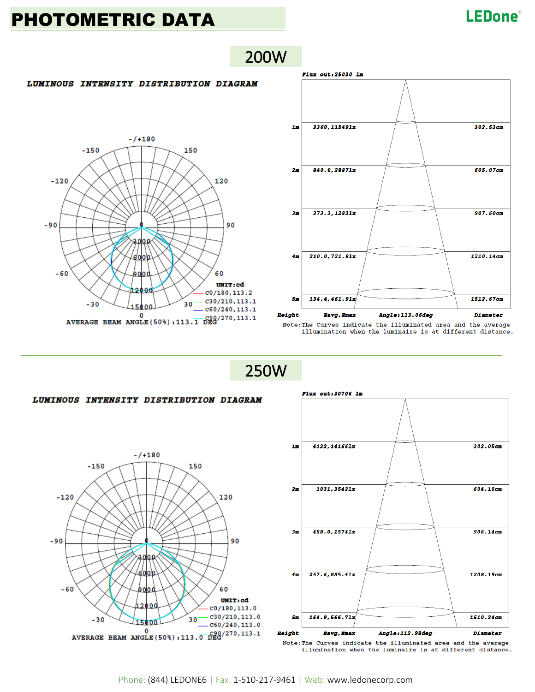## PHOTOMETRIC DATA

### **LEDone**®



200W

### Flux out:25030 1m  $1<sub>m</sub>$ 3360, 115491x 302.53cm 840.0.28871x 605.07cm  $2m$ 373.3,12831x 907.60cm  $3m$  $210.0, 721.81x$ 1210.14cm  $4<sub>m</sub>$ 55 134.4,461.91x 1512.67cm Height **Eavg, Emax** Angle:113.06deg **Diameter**

Note: The Curves indicate the illuminated area and the average illumination when the luminaire is at different distance.

250W



Note: The Curves indicate the illuminated area and the average illumination when the luminaire is at different distance.

Phone: (844) LEDONE6 | Fax: 1-510-217-9461 | Web: www.ledonecorp.com